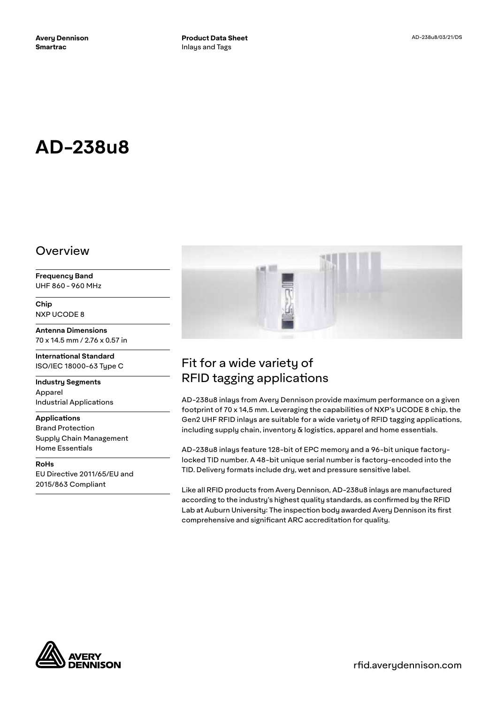# **AD-238u8**

#### Overview

**Frequency Band** UHF 860 - 960 MHz

**Chip** NXP UCODE 8

**Antenna Dimensions** 70 x 14.5 mm / 2.76 x 0.57 in

**International Standard** ISO/IEC 18000-63 Type C

**Industry Segments** Apparel Industrial Applications

**Applications** Brand Protection Supply Chain Management Home Essentials

**RoHs** EU Directive 2011/65/EU and 2015/863 Compliant



## Fit for a wide variety of RFID tagging applications

AD-238u8 inlays from Avery Dennison provide maximum performance on a given footprint of 70 x 14,5 mm. Leveraging the capabilities of NXP's UCODE 8 chip, the Gen2 UHF RFID inlays are suitable for a wide variety of RFID tagging applications, including supply chain, inventory & logistics, apparel and home essentials.

AD-238u8 inlays feature 128-bit of EPC memory and a 96-bit unique factorylocked TID number. A 48-bit unique serial number is factory-encoded into the TID. Delivery formats include dry, wet and pressure sensitive label.

Like all RFID products from Avery Dennison, AD-238u8 inlays are manufactured according to the industry's highest quality standards, as confirmed by the RFID Lab at Auburn University: The inspection body awarded Avery Dennison its first comprehensive and significant ARC accreditation for quality.